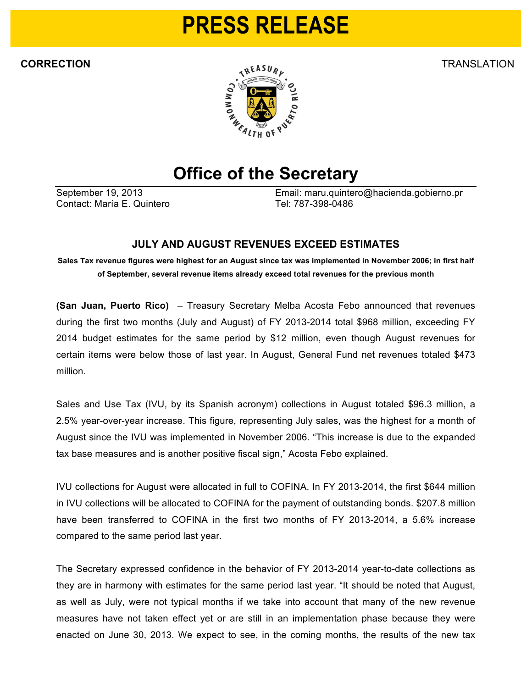## **PRESS RELEASE**



## **Office of the Secretary**

Contact: María E. Quintero Tel: 787-398-0486

September 19, 2013 Email: maru.quintero@hacienda.gobierno.pr

## **JULY AND AUGUST REVENUES EXCEED ESTIMATES**

Sales Tax revenue figures were highest for an August since tax was implemented in November 2006; in first half **of September, several revenue items already exceed total revenues for the previous month**

**(San Juan, Puerto Rico)** – Treasury Secretary Melba Acosta Febo announced that revenues during the first two months (July and August) of FY 2013-2014 total \$968 million, exceeding FY 2014 budget estimates for the same period by \$12 million, even though August revenues for certain items were below those of last year. In August, General Fund net revenues totaled \$473 million.

Sales and Use Tax (IVU, by its Spanish acronym) collections in August totaled \$96.3 million, a 2.5% year-over-year increase. This figure, representing July sales, was the highest for a month of August since the IVU was implemented in November 2006. "This increase is due to the expanded tax base measures and is another positive fiscal sign," Acosta Febo explained.

IVU collections for August were allocated in full to COFINA. In FY 2013-2014, the first \$644 million in IVU collections will be allocated to COFINA for the payment of outstanding bonds. \$207.8 million have been transferred to COFINA in the first two months of FY 2013-2014, a 5.6% increase compared to the same period last year.

The Secretary expressed confidence in the behavior of FY 2013-2014 year-to-date collections as they are in harmony with estimates for the same period last year. "It should be noted that August, as well as July, were not typical months if we take into account that many of the new revenue measures have not taken effect yet or are still in an implementation phase because they were enacted on June 30, 2013. We expect to see, in the coming months, the results of the new tax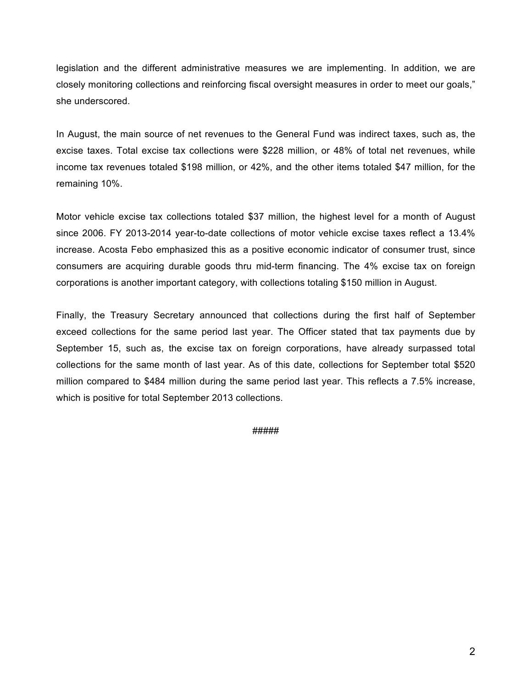legislation and the different administrative measures we are implementing. In addition, we are closely monitoring collections and reinforcing fiscal oversight measures in order to meet our goals," she underscored.

In August, the main source of net revenues to the General Fund was indirect taxes, such as, the excise taxes. Total excise tax collections were \$228 million, or 48% of total net revenues, while income tax revenues totaled \$198 million, or 42%, and the other items totaled \$47 million, for the remaining 10%.

Motor vehicle excise tax collections totaled \$37 million, the highest level for a month of August since 2006. FY 2013-2014 year-to-date collections of motor vehicle excise taxes reflect a 13.4% increase. Acosta Febo emphasized this as a positive economic indicator of consumer trust, since consumers are acquiring durable goods thru mid-term financing. The 4% excise tax on foreign corporations is another important category, with collections totaling \$150 million in August.

Finally, the Treasury Secretary announced that collections during the first half of September exceed collections for the same period last year. The Officer stated that tax payments due by September 15, such as, the excise tax on foreign corporations, have already surpassed total collections for the same month of last year. As of this date, collections for September total \$520 million compared to \$484 million during the same period last year. This reflects a 7.5% increase, which is positive for total September 2013 collections.

#####